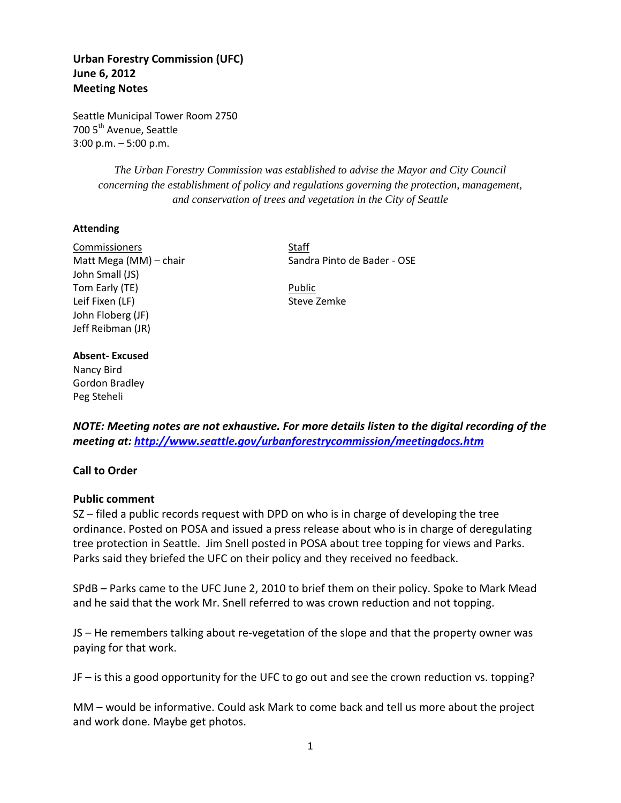# **Urban Forestry Commission (UFC) June 6, 2012 Meeting Notes**

Seattle Municipal Tower Room 2750 700 5<sup>th</sup> Avenue, Seattle 3:00 p.m. – 5:00 p.m.

> *The Urban Forestry Commission was established to advise the Mayor and City Council concerning the establishment of policy and regulations governing the protection, management, and conservation of trees and vegetation in the City of Seattle*

## **Attending**

Commissioners Staff Matt Mega (MM) – chair Sandra Pinto de Bader - OSE John Small (JS) Tom Early (TE) **Public** Leif Fixen (LF) Steve Zemke John Floberg (JF) Jeff Reibman (JR)

# **Absent- Excused**

Nancy Bird Gordon Bradley Peg Steheli

*NOTE: Meeting notes are not exhaustive. For more details listen to the digital recording of the meeting at:<http://www.seattle.gov/urbanforestrycommission/meetingdocs.htm>*

## **Call to Order**

## **Public comment**

SZ – filed a public records request with DPD on who is in charge of developing the tree ordinance. Posted on POSA and issued a press release about who is in charge of deregulating tree protection in Seattle. Jim Snell posted in POSA about tree topping for views and Parks. Parks said they briefed the UFC on their policy and they received no feedback.

SPdB – Parks came to the UFC June 2, 2010 to brief them on their policy. Spoke to Mark Mead and he said that the work Mr. Snell referred to was crown reduction and not topping.

JS – He remembers talking about re-vegetation of the slope and that the property owner was paying for that work.

JF – is this a good opportunity for the UFC to go out and see the crown reduction vs. topping?

MM – would be informative. Could ask Mark to come back and tell us more about the project and work done. Maybe get photos.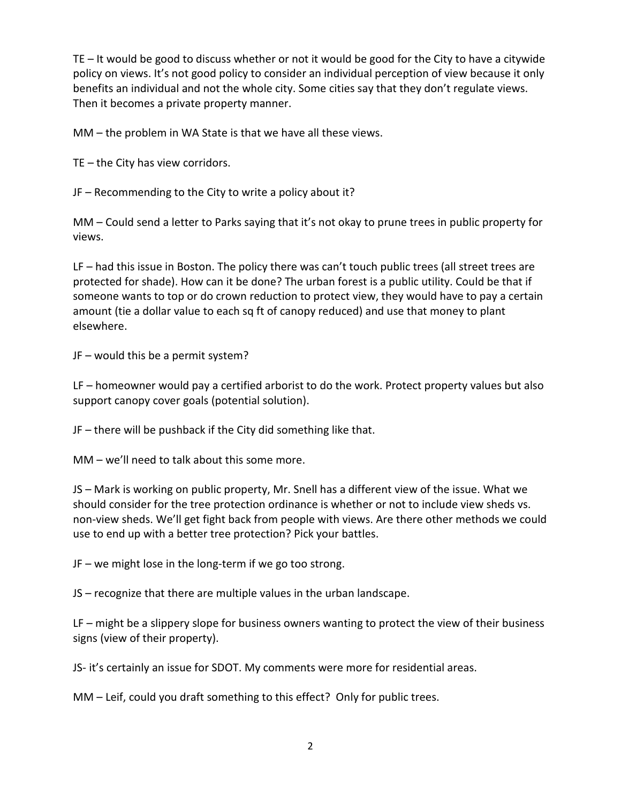TE – It would be good to discuss whether or not it would be good for the City to have a citywide policy on views. It's not good policy to consider an individual perception of view because it only benefits an individual and not the whole city. Some cities say that they don't regulate views. Then it becomes a private property manner.

MM – the problem in WA State is that we have all these views.

TE – the City has view corridors.

JF – Recommending to the City to write a policy about it?

MM – Could send a letter to Parks saying that it's not okay to prune trees in public property for views.

LF – had this issue in Boston. The policy there was can't touch public trees (all street trees are protected for shade). How can it be done? The urban forest is a public utility. Could be that if someone wants to top or do crown reduction to protect view, they would have to pay a certain amount (tie a dollar value to each sq ft of canopy reduced) and use that money to plant elsewhere.

JF – would this be a permit system?

LF – homeowner would pay a certified arborist to do the work. Protect property values but also support canopy cover goals (potential solution).

JF – there will be pushback if the City did something like that.

MM – we'll need to talk about this some more.

JS – Mark is working on public property, Mr. Snell has a different view of the issue. What we should consider for the tree protection ordinance is whether or not to include view sheds vs. non-view sheds. We'll get fight back from people with views. Are there other methods we could use to end up with a better tree protection? Pick your battles.

JF – we might lose in the long-term if we go too strong.

JS – recognize that there are multiple values in the urban landscape.

LF – might be a slippery slope for business owners wanting to protect the view of their business signs (view of their property).

JS- it's certainly an issue for SDOT. My comments were more for residential areas.

MM – Leif, could you draft something to this effect? Only for public trees.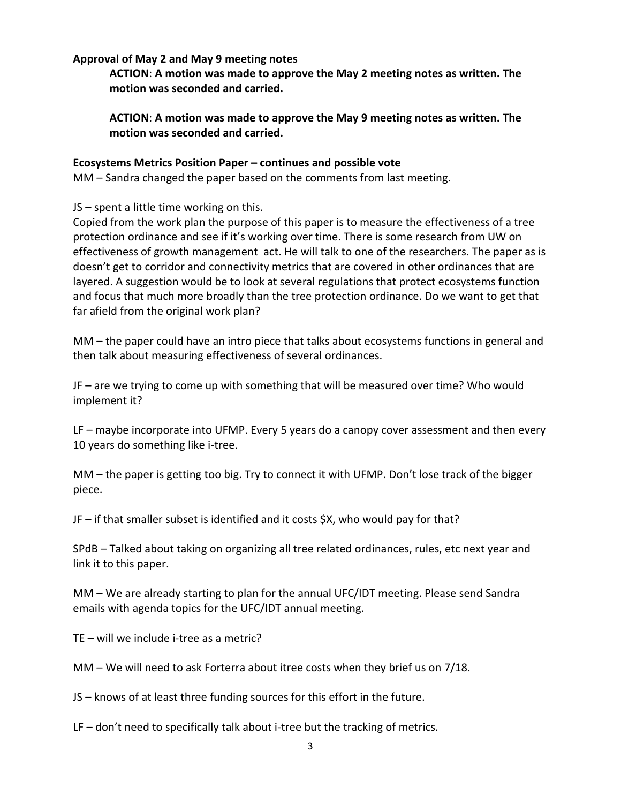## **Approval of May 2 and May 9 meeting notes**

**ACTION**: **A motion was made to approve the May 2 meeting notes as written. The motion was seconded and carried.** 

**ACTION**: **A motion was made to approve the May 9 meeting notes as written. The motion was seconded and carried.** 

## **Ecosystems Metrics Position Paper – continues and possible vote**

MM – Sandra changed the paper based on the comments from last meeting.

JS – spent a little time working on this.

Copied from the work plan the purpose of this paper is to measure the effectiveness of a tree protection ordinance and see if it's working over time. There is some research from UW on effectiveness of growth management act. He will talk to one of the researchers. The paper as is doesn't get to corridor and connectivity metrics that are covered in other ordinances that are layered. A suggestion would be to look at several regulations that protect ecosystems function and focus that much more broadly than the tree protection ordinance. Do we want to get that far afield from the original work plan?

MM – the paper could have an intro piece that talks about ecosystems functions in general and then talk about measuring effectiveness of several ordinances.

JF – are we trying to come up with something that will be measured over time? Who would implement it?

LF – maybe incorporate into UFMP. Every 5 years do a canopy cover assessment and then every 10 years do something like i-tree.

MM – the paper is getting too big. Try to connect it with UFMP. Don't lose track of the bigger piece.

JF – if that smaller subset is identified and it costs \$X, who would pay for that?

SPdB – Talked about taking on organizing all tree related ordinances, rules, etc next year and link it to this paper.

MM – We are already starting to plan for the annual UFC/IDT meeting. Please send Sandra emails with agenda topics for the UFC/IDT annual meeting.

TE – will we include i-tree as a metric?

MM – We will need to ask Forterra about itree costs when they brief us on 7/18.

JS – knows of at least three funding sources for this effort in the future.

LF – don't need to specifically talk about i-tree but the tracking of metrics.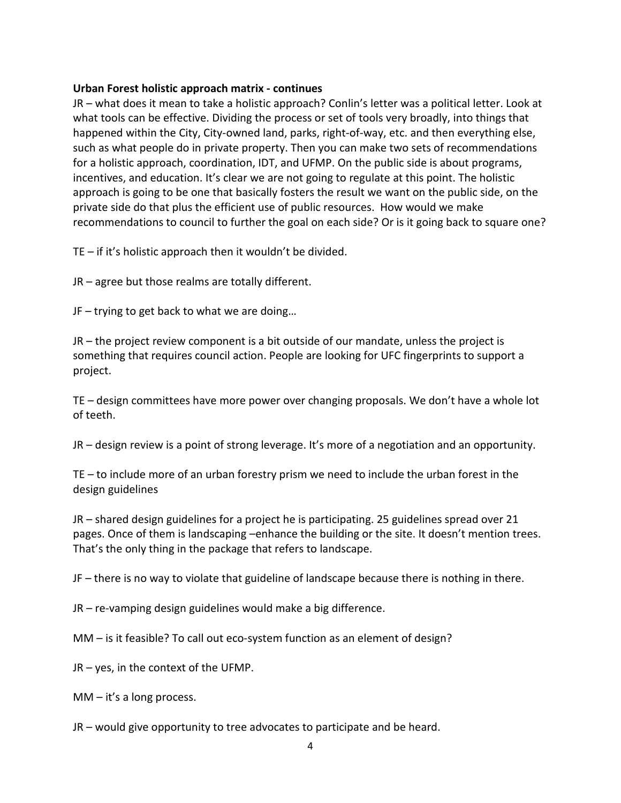## **Urban Forest holistic approach matrix - continues**

JR – what does it mean to take a holistic approach? Conlin's letter was a political letter. Look at what tools can be effective. Dividing the process or set of tools very broadly, into things that happened within the City, City-owned land, parks, right-of-way, etc. and then everything else, such as what people do in private property. Then you can make two sets of recommendations for a holistic approach, coordination, IDT, and UFMP. On the public side is about programs, incentives, and education. It's clear we are not going to regulate at this point. The holistic approach is going to be one that basically fosters the result we want on the public side, on the private side do that plus the efficient use of public resources. How would we make recommendations to council to further the goal on each side? Or is it going back to square one?

TE – if it's holistic approach then it wouldn't be divided.

JR – agree but those realms are totally different.

JF – trying to get back to what we are doing…

JR – the project review component is a bit outside of our mandate, unless the project is something that requires council action. People are looking for UFC fingerprints to support a project.

TE – design committees have more power over changing proposals. We don't have a whole lot of teeth.

JR – design review is a point of strong leverage. It's more of a negotiation and an opportunity.

TE – to include more of an urban forestry prism we need to include the urban forest in the design guidelines

JR – shared design guidelines for a project he is participating. 25 guidelines spread over 21 pages. Once of them is landscaping –enhance the building or the site. It doesn't mention trees. That's the only thing in the package that refers to landscape.

JF – there is no way to violate that guideline of landscape because there is nothing in there.

JR – re-vamping design guidelines would make a big difference.

MM – is it feasible? To call out eco-system function as an element of design?

JR – yes, in the context of the UFMP.

 $MM - it's a long process.$ 

JR – would give opportunity to tree advocates to participate and be heard.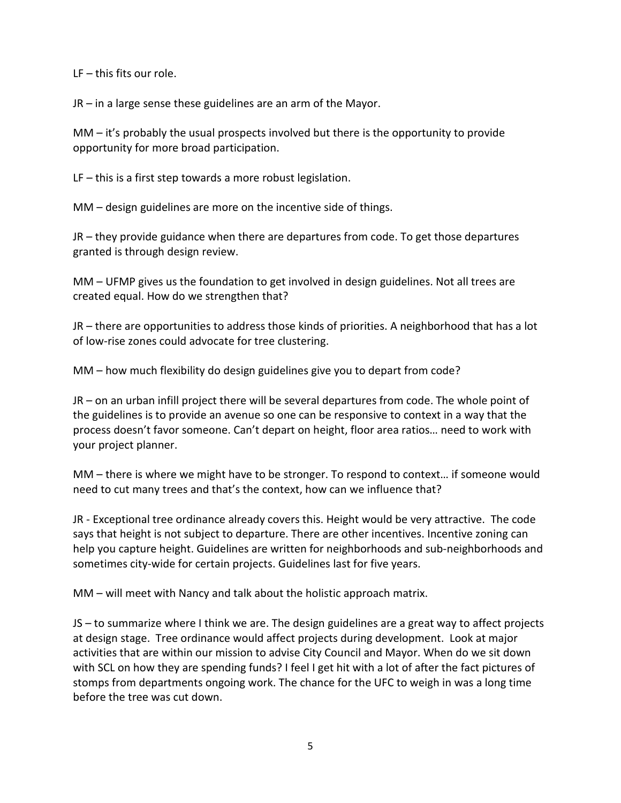LF – this fits our role.

JR – in a large sense these guidelines are an arm of the Mayor.

MM – it's probably the usual prospects involved but there is the opportunity to provide opportunity for more broad participation.

LF – this is a first step towards a more robust legislation.

MM – design guidelines are more on the incentive side of things.

JR – they provide guidance when there are departures from code. To get those departures granted is through design review.

MM – UFMP gives us the foundation to get involved in design guidelines. Not all trees are created equal. How do we strengthen that?

JR – there are opportunities to address those kinds of priorities. A neighborhood that has a lot of low-rise zones could advocate for tree clustering.

MM – how much flexibility do design guidelines give you to depart from code?

JR – on an urban infill project there will be several departures from code. The whole point of the guidelines is to provide an avenue so one can be responsive to context in a way that the process doesn't favor someone. Can't depart on height, floor area ratios… need to work with your project planner.

MM – there is where we might have to be stronger. To respond to context… if someone would need to cut many trees and that's the context, how can we influence that?

JR - Exceptional tree ordinance already covers this. Height would be very attractive. The code says that height is not subject to departure. There are other incentives. Incentive zoning can help you capture height. Guidelines are written for neighborhoods and sub-neighborhoods and sometimes city-wide for certain projects. Guidelines last for five years.

MM – will meet with Nancy and talk about the holistic approach matrix.

JS – to summarize where I think we are. The design guidelines are a great way to affect projects at design stage. Tree ordinance would affect projects during development. Look at major activities that are within our mission to advise City Council and Mayor. When do we sit down with SCL on how they are spending funds? I feel I get hit with a lot of after the fact pictures of stomps from departments ongoing work. The chance for the UFC to weigh in was a long time before the tree was cut down.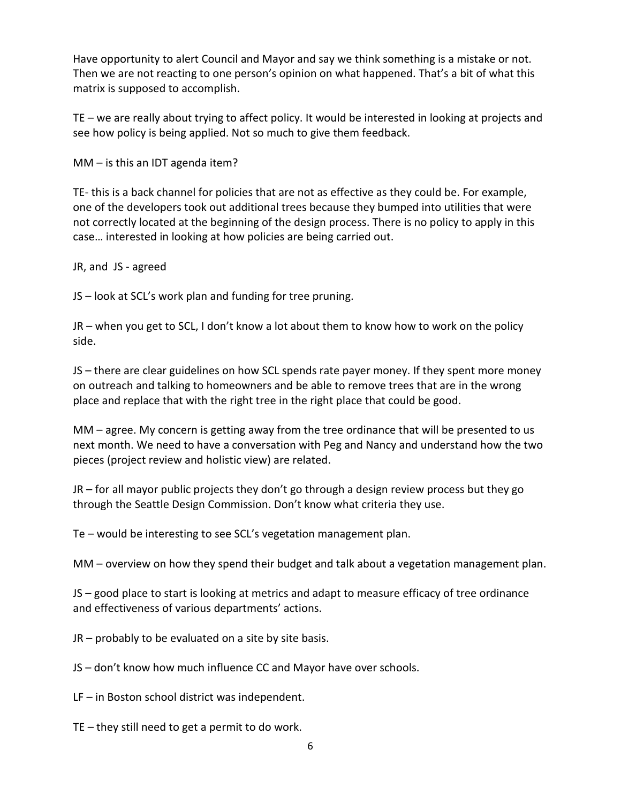Have opportunity to alert Council and Mayor and say we think something is a mistake or not. Then we are not reacting to one person's opinion on what happened. That's a bit of what this matrix is supposed to accomplish.

TE – we are really about trying to affect policy. It would be interested in looking at projects and see how policy is being applied. Not so much to give them feedback.

MM – is this an IDT agenda item?

TE- this is a back channel for policies that are not as effective as they could be. For example, one of the developers took out additional trees because they bumped into utilities that were not correctly located at the beginning of the design process. There is no policy to apply in this case… interested in looking at how policies are being carried out.

JR, and JS - agreed

JS – look at SCL's work plan and funding for tree pruning.

JR – when you get to SCL, I don't know a lot about them to know how to work on the policy side.

JS – there are clear guidelines on how SCL spends rate payer money. If they spent more money on outreach and talking to homeowners and be able to remove trees that are in the wrong place and replace that with the right tree in the right place that could be good.

MM – agree. My concern is getting away from the tree ordinance that will be presented to us next month. We need to have a conversation with Peg and Nancy and understand how the two pieces (project review and holistic view) are related.

JR – for all mayor public projects they don't go through a design review process but they go through the Seattle Design Commission. Don't know what criteria they use.

Te – would be interesting to see SCL's vegetation management plan.

MM – overview on how they spend their budget and talk about a vegetation management plan.

JS – good place to start is looking at metrics and adapt to measure efficacy of tree ordinance and effectiveness of various departments' actions.

JR – probably to be evaluated on a site by site basis.

JS – don't know how much influence CC and Mayor have over schools.

LF – in Boston school district was independent.

TE – they still need to get a permit to do work.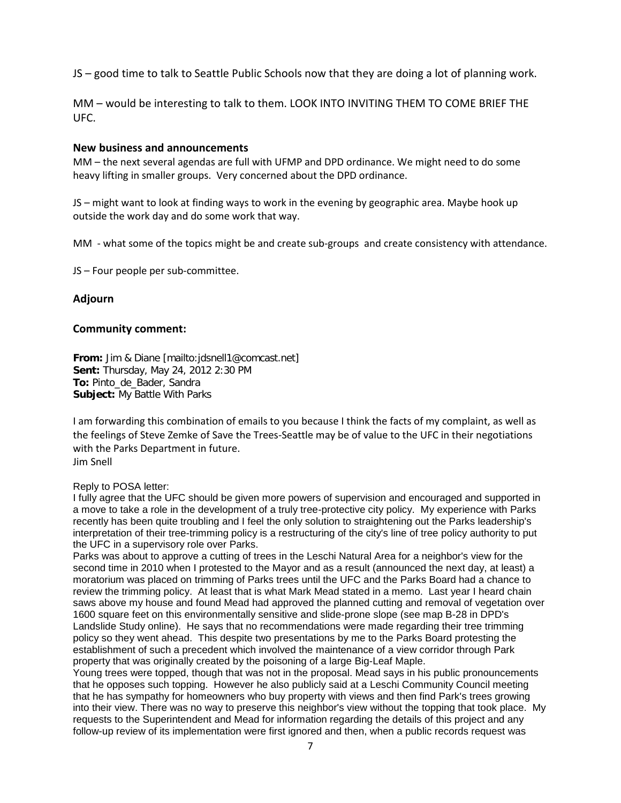JS – good time to talk to Seattle Public Schools now that they are doing a lot of planning work.

MM – would be interesting to talk to them. LOOK INTO INVITING THEM TO COME BRIEF THE UFC.

### **New business and announcements**

MM – the next several agendas are full with UFMP and DPD ordinance. We might need to do some heavy lifting in smaller groups. Very concerned about the DPD ordinance.

JS – might want to look at finding ways to work in the evening by geographic area. Maybe hook up outside the work day and do some work that way.

MM - what some of the topics might be and create sub-groups and create consistency with attendance.

JS – Four people per sub-committee.

## **Adjourn**

#### **Community comment:**

**From:** Jim & Diane [mailto:jdsnell1@comcast.net] **Sent:** Thursday, May 24, 2012 2:30 PM **To:** Pinto\_de\_Bader, Sandra **Subject:** My Battle With Parks

I am forwarding this combination of emails to you because I think the facts of my complaint, as well as the feelings of Steve Zemke of Save the Trees-Seattle may be of value to the UFC in their negotiations with the Parks Department in future. Jim Snell

#### Reply to POSA letter:

I fully agree that the UFC should be given more powers of supervision and encouraged and supported in a move to take a role in the development of a truly tree-protective city policy. My experience with Parks recently has been quite troubling and I feel the only solution to straightening out the Parks leadership's interpretation of their tree-trimming policy is a restructuring of the city's line of tree policy authority to put the UFC in a supervisory role over Parks.

Parks was about to approve a cutting of trees in the Leschi Natural Area for a neighbor's view for the second time in 2010 when I protested to the Mayor and as a result (announced the next day, at least) a moratorium was placed on trimming of Parks trees until the UFC and the Parks Board had a chance to review the trimming policy. At least that is what Mark Mead stated in a memo. Last year I heard chain saws above my house and found Mead had approved the planned cutting and removal of vegetation over 1600 square feet on this environmentally sensitive and slide-prone slope (see map B-28 in DPD's Landslide Study online). He says that no recommendations were made regarding their tree trimming policy so they went ahead. This despite two presentations by me to the Parks Board protesting the establishment of such a precedent which involved the maintenance of a view corridor through Park property that was originally created by the poisoning of a large Big-Leaf Maple.

Young trees were topped, though that was not in the proposal. Mead says in his public pronouncements that he opposes such topping. However he also publicly said at a Leschi Community Council meeting that he has sympathy for homeowners who buy property with views and then find Park's trees growing into their view. There was no way to preserve this neighbor's view without the topping that took place. My requests to the Superintendent and Mead for information regarding the details of this project and any follow-up review of its implementation were first ignored and then, when a public records request was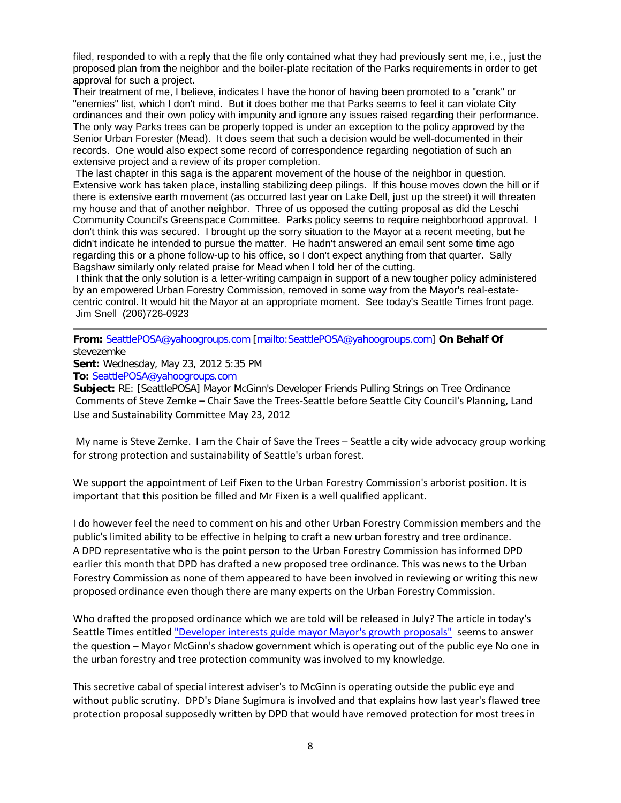filed, responded to with a reply that the file only contained what they had previously sent me, i.e., just the proposed plan from the neighbor and the boiler-plate recitation of the Parks requirements in order to get approval for such a project.

Their treatment of me, I believe, indicates I have the honor of having been promoted to a "crank" or "enemies" list, which I don't mind. But it does bother me that Parks seems to feel it can violate City ordinances and their own policy with impunity and ignore any issues raised regarding their performance. The only way Parks trees can be properly topped is under an exception to the policy approved by the Senior Urban Forester (Mead). It does seem that such a decision would be well-documented in their records. One would also expect some record of correspondence regarding negotiation of such an extensive project and a review of its proper completion.

The last chapter in this saga is the apparent movement of the house of the neighbor in question. Extensive work has taken place, installing stabilizing deep pilings. If this house moves down the hill or if there is extensive earth movement (as occurred last year on Lake Dell, just up the street) it will threaten my house and that of another neighbor. Three of us opposed the cutting proposal as did the Leschi Community Council's Greenspace Committee. Parks policy seems to require neighborhood approval. I don't think this was secured. I brought up the sorry situation to the Mayor at a recent meeting, but he didn't indicate he intended to pursue the matter. He hadn't answered an email sent some time ago regarding this or a phone follow-up to his office, so I don't expect anything from that quarter. Sally Bagshaw similarly only related praise for Mead when I told her of the cutting.

I think that the only solution is a letter-writing campaign in support of a new tougher policy administered by an empowered Urban Forestry Commission, removed in some way from the Mayor's real-estatecentric control. It would hit the Mayor at an appropriate moment. See today's Seattle Times front page. Jim Snell (206)726-0923

### **From:** [SeattlePOSA@yahoogroups.com](mailto:SeattlePOSA@yahoogroups.com) [\[mailto:SeattlePOSA@yahoogroups.com\]](mailto:SeattlePOSA@yahoogroups.com) **On Behalf Of**  stevezemke

**Sent:** Wednesday, May 23, 2012 5:35 PM

**To:** [SeattlePOSA@yahoogroups.com](mailto:SeattlePOSA@yahoogroups.com)

**Subject:** RE: [SeattlePOSA] Mayor McGinn's Developer Friends Pulling Strings on Tree Ordinance Comments of Steve Zemke – Chair Save the Trees-Seattle before Seattle City Council's Planning, Land Use and Sustainability Committee May 23, 2012

My name is Steve Zemke. I am the Chair of Save the Trees – Seattle a city wide advocacy group working for strong protection and sustainability of Seattle's urban forest.

We support the appointment of Leif Fixen to the Urban Forestry Commission's arborist position. It is important that this position be filled and Mr Fixen is a well qualified applicant.

I do however feel the need to comment on his and other Urban Forestry Commission members and the public's limited ability to be effective in helping to craft a new urban forestry and tree ordinance. A DPD representative who is the point person to the Urban Forestry Commission has informed DPD earlier this month that DPD has drafted a new proposed tree ordinance. This was news to the Urban Forestry Commission as none of them appeared to have been involved in reviewing or writing this new proposed ordinance even though there are many experts on the Urban Forestry Commission.

Who drafted the proposed ordinance which we are told will be released in July? The article in today's Seattle Times entitled ["Developer interests guide mayor Mayor's growth proposals"](http://seattletimes.nwsource.com/html/localnews/2018264119_citygrowth23m.html) seems to answer the question – Mayor McGinn's shadow government which is operating out of the public eye No one in the urban forestry and tree protection community was involved to my knowledge.

This secretive cabal of special interest adviser's to McGinn is operating outside the public eye and without public scrutiny. DPD's Diane Sugimura is involved and that explains how last year's flawed tree protection proposal supposedly written by DPD that would have removed protection for most trees in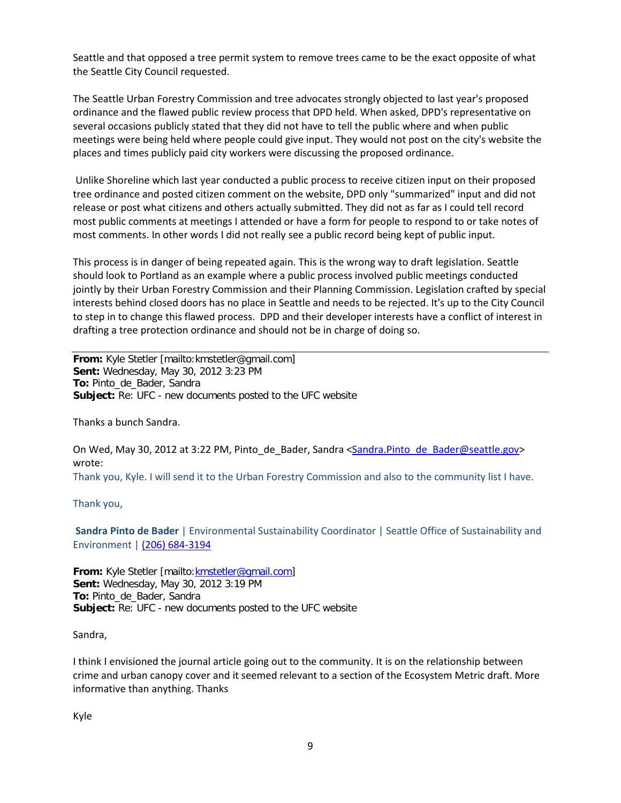Seattle and that opposed a tree permit system to remove trees came to be the exact opposite of what the Seattle City Council requested.

The Seattle Urban Forestry Commission and tree advocates strongly objected to last year's proposed ordinance and the flawed public review process that DPD held. When asked, DPD's representative on several occasions publicly stated that they did not have to tell the public where and when public meetings were being held where people could give input. They would not post on the city's website the places and times publicly paid city workers were discussing the proposed ordinance.

Unlike Shoreline which last year conducted a public process to receive citizen input on their proposed tree ordinance and posted citizen comment on the website, DPD only "summarized" input and did not release or post what citizens and others actually submitted. They did not as far as I could tell record most public comments at meetings I attended or have a form for people to respond to or take notes of most comments. In other words I did not really see a public record being kept of public input.

This process is in danger of being repeated again. This is the wrong way to draft legislation. Seattle should look to Portland as an example where a public process involved public meetings conducted jointly by their Urban Forestry Commission and their Planning Commission. Legislation crafted by special interests behind closed doors has no place in Seattle and needs to be rejected. It's up to the City Council to step in to change this flawed process. DPD and their developer interests have a conflict of interest in drafting a tree protection ordinance and should not be in charge of doing so.

**From:** Kyle Stetler [mailto:kmstetler@gmail.com] **Sent:** Wednesday, May 30, 2012 3:23 PM **To:** Pinto\_de\_Bader, Sandra **Subject:** Re: UFC - new documents posted to the UFC website

Thanks a bunch Sandra.

On Wed, May 30, 2012 at 3:22 PM, Pinto\_de\_Bader, Sandra [<Sandra.Pinto\\_de\\_Bader@seattle.gov>](mailto:Sandra.Pinto_de_Bader@seattle.gov) wrote: Thank you, Kyle. I will send it to the Urban Forestry Commission and also to the community list I have.

Thank you,

**Sandra Pinto de Bader** | Environmental Sustainability Coordinator | Seattle Office of Sustainability and Environment | [\(206\) 684-3194](tel:%28206%29%20684-3194)

**From:** Kyle Stetler [mailto[:kmstetler@gmail.com\]](mailto:kmstetler@gmail.com) **Sent:** Wednesday, May 30, 2012 3:19 PM **To:** Pinto\_de\_Bader, Sandra **Subject:** Re: UFC - new documents posted to the UFC website

Sandra,

I think I envisioned the journal article going out to the community. It is on the relationship between crime and urban canopy cover and it seemed relevant to a section of the Ecosystem Metric draft. More informative than anything. Thanks

Kyle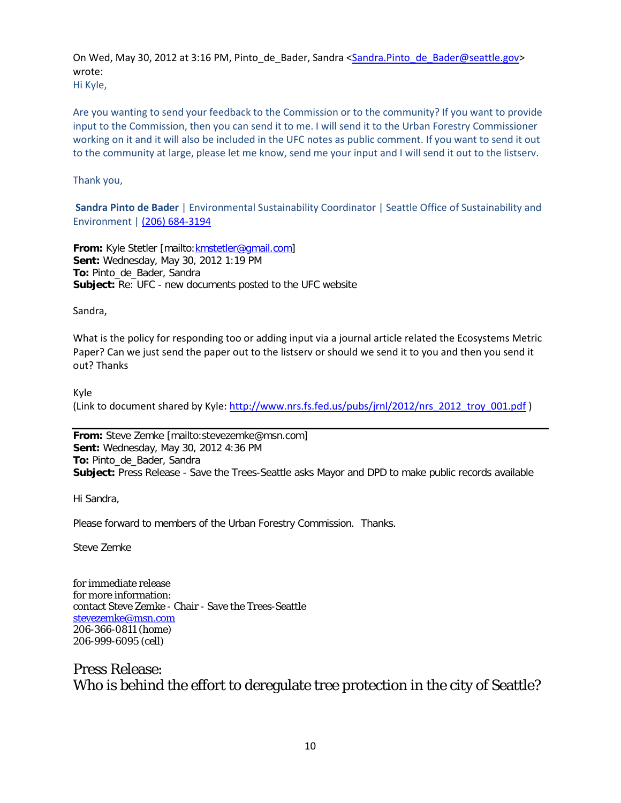On Wed, May 30, 2012 at 3:16 PM, Pinto\_de\_Bader, Sandra [<Sandra.Pinto\\_de\\_Bader@seattle.gov>](mailto:Sandra.Pinto_de_Bader@seattle.gov) wrote: Hi Kyle,

Are you wanting to send your feedback to the Commission or to the community? If you want to provide input to the Commission, then you can send it to me. I will send it to the Urban Forestry Commissioner working on it and it will also be included in the UFC notes as public comment. If you want to send it out to the community at large, please let me know, send me your input and I will send it out to the listserv.

Thank you,

**Sandra Pinto de Bader** | Environmental Sustainability Coordinator | Seattle Office of Sustainability and Environment | [\(206\) 684-3194](tel:%28206%29%20684-3194)

**From:** Kyle Stetler [mailto: kmstetler@gmail.com] **Sent:** Wednesday, May 30, 2012 1:19 PM **To:** Pinto\_de\_Bader, Sandra **Subject:** Re: UFC - new documents posted to the UFC website

Sandra,

What is the policy for responding too or adding input via a journal article related the Ecosystems Metric Paper? Can we just send the paper out to the listserv or should we send it to you and then you send it out? Thanks

Kyle

(Link to document shared by Kyle: [http://www.nrs.fs.fed.us/pubs/jrnl/2012/nrs\\_2012\\_troy\\_001.pdf](http://www.nrs.fs.fed.us/pubs/jrnl/2012/nrs_2012_troy_001.pdf) )

**From:** Steve Zemke [mailto:stevezemke@msn.com] **Sent:** Wednesday, May 30, 2012 4:36 PM **To:** Pinto\_de\_Bader, Sandra **Subject:** Press Release - Save the Trees-Seattle asks Mayor and DPD to make public records available

Hi Sandra,

Please forward to members of the Urban Forestry Commission. Thanks.

Steve Zemke

for immediate release for more information: contact Steve Zemke - Chair - Save the Trees-Seattle [stevezemke@msn.com](mailto:stevezemke@msn.com) 206-366-0811 (home) 206-999-6095 (cell)

# Press Release: Who is behind the effort to deregulate tree protection in the city of Seattle?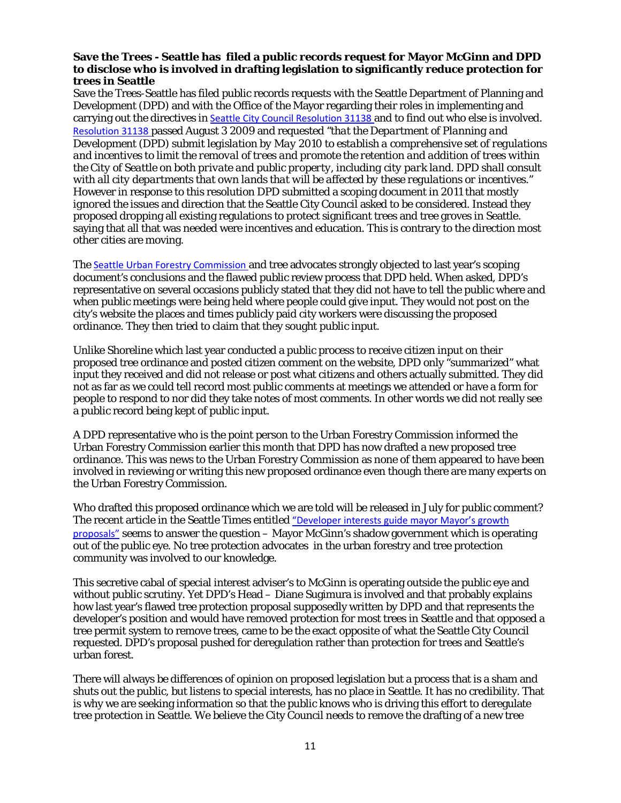#### **Save the Trees - Seattle has filed a public records request for Mayor McGinn and DPD to disclose who is involved in drafting legislation to significantly reduce protection for trees in Seattle**

Save the Trees-Seattle has filed public records requests with the Seattle Department of Planning and Development (DPD) and with the Office of the Mayor regarding their roles in implementing and carrying out the directives in [Seattle City Council Resolution 31138](http://clerk.seattle.gov/~scripts/nph-brs.exe?s1=&s3=&s2=&s4=tree+protection&Sect4=AND&l=20&Sect2=THESON&Sect3=PLURON&Sect5=RESNY&Sect6=HITOFF&d=RESF&p=1&u=/~public/resny.htm&r=8&f=G) and to find out who else is involved. [Resolution 31138](http://clerk.seattle.gov/~scripts/nph-brs.exe?s1=&s3=&s2=&s4=tree+protection&Sect4=AND&l=20&Sect2=THESON&Sect3=PLURON&Sect5=RESNY&Sect6=HITOFF&d=RESF&p=1&u=/~public/resny.htm&r=8&f=G) passed August 3 2009 and requested "*that the Department of Planning and Development (DPD) submit legislation by May 2010 to establish a comprehensive set of regulations and incentives to limit the removal of trees and promote the retention and addition of trees within the City of Seattle on both private and public property, including city park land. DPD shall consult with all city departments that own lands that will be affected by these regulations or incentives."* However in response to this resolution DPD submitted a scoping document in 2011 that *mostly ignored the* issues and direction that the Seattle City Council asked to be considered. Instead they proposed dropping all existing regulations to protect significant trees and tree groves in Seattle. saying that all that was needed were incentives and education. This is contrary to the direction most other cities are moving.

The [Seattle Urban Forestry Commission](http://seattle.gov/urbanforestrycommission/docs/Final%20issued%20docs/Recommendations/ADOPTED%20Tree%20Regs%20Response%20followup102010.pdf) and tree advocates strongly objected to last year's scoping document's conclusions and the flawed public review process that DPD held. When asked, DPD's representative on several occasions publicly stated that they did not have to tell the public where and when public meetings were being held where people could give input. They would not post on the city's website the places and times publicly paid city workers were discussing the proposed ordinance. They then tried to claim that they sought public input.

Unlike Shoreline which last year conducted a public process to receive citizen input on their proposed tree ordinance and posted citizen comment on the website, DPD only "summarized" what input they received and did not release or post what citizens and others actually submitted. They did not as far as we could tell record most public comments at meetings we attended or have a form for people to respond to nor did they take notes of most comments. In other words we did not really see a public record being kept of public input.

A DPD representative who is the point person to the Urban Forestry Commission informed the Urban Forestry Commission earlier this month that DPD has now drafted a new proposed tree ordinance. This was news to the Urban Forestry Commission as none of them appeared to have been involved in reviewing or writing this new proposed ordinance even though there are many experts on the Urban Forestry Commission.

Who drafted this proposed ordinance which we are told will be released in July for public comment? The recent article in the Seattle Times entitled ["Developer interests guide mayor Mayor's](http://seattletimes.nwsource.com/html/localnews/2018264119_citygrowth23m.html) growth [proposals"](http://seattletimes.nwsource.com/html/localnews/2018264119_citygrowth23m.html) seems to answer the question – Mayor McGinn's shadow government which is operating out of the public eye. No tree protection advocates in the urban forestry and tree protection community was involved to our knowledge.

This secretive cabal of special interest adviser's to McGinn is operating outside the public eye and without public scrutiny. Yet DPD's Head – Diane Sugimura is involved and that probably explains how last year's flawed tree protection proposal supposedly written by DPD and that represents the developer's position and would have removed protection for most trees in Seattle and that opposed a tree permit system to remove trees, came to be the exact opposite of what the Seattle City Council requested. DPD's proposal pushed for deregulation rather than protection for trees and Seattle's urban forest.

There will always be differences of opinion on proposed legislation but a process that is a sham and shuts out the public, but listens to special interests, has no place in Seattle. It has no credibility. That is why we are seeking information so that the public knows who is driving this effort to deregulate tree protection in Seattle. We believe the City Council needs to remove the drafting of a new tree